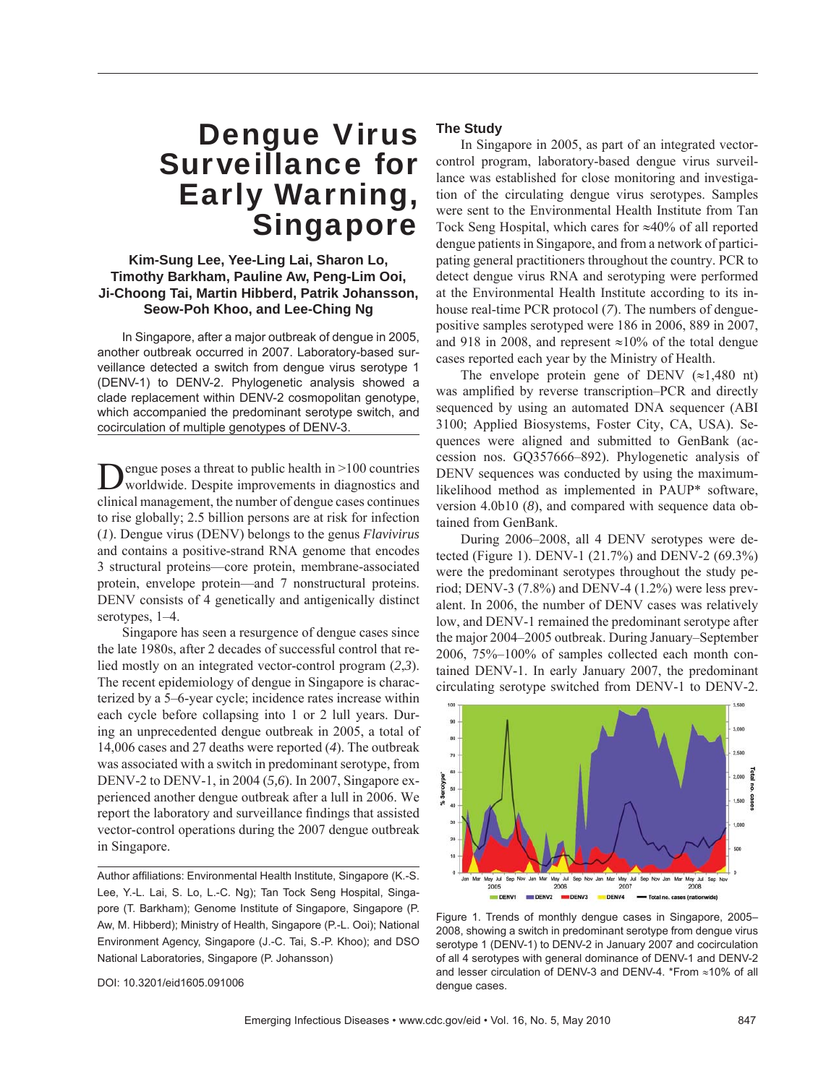# Dengue Virus Surveillance for Early Warning, **Singapore**

## **Kim-Sung Lee, Yee-Ling Lai, Sharon Lo, Timothy Barkham, Pauline Aw, Peng-Lim Ooi, Ji-Choong Tai, Martin Hibberd, Patrik Johansson, Seow-Poh Khoo, and Lee-Ching Ng**

In Singapore, after a major outbreak of dengue in 2005, another outbreak occurred in 2007. Laboratory-based surveillance detected a switch from dengue virus serotype 1 (DENV-1) to DENV-2. Phylogenetic analysis showed a clade replacement within DENV-2 cosmopolitan genotype, which accompanied the predominant serotype switch, and cocirculation of multiple genotypes of DENV-3.

Dengue poses a threat to public health in >100 countries<br>worldwide. Despite improvements in diagnostics and clinical management, the number of dengue cases continues to rise globally; 2.5 billion persons are at risk for infection (*1*). Dengue virus (DENV) belongs to the genus *Flavivirus* and contains a positive-strand RNA genome that encodes 3 structural proteins—core protein, membrane-associated protein, envelope protein—and 7 nonstructural proteins. DENV consists of 4 genetically and antigenically distinct serotypes, 1–4.

Singapore has seen a resurgence of dengue cases since the late 1980s, after 2 decades of successful control that relied mostly on an integrated vector-control program (*2*,*3*). The recent epidemiology of dengue in Singapore is characterized by a 5–6-year cycle; incidence rates increase within each cycle before collapsing into 1 or 2 lull years. During an unprecedented dengue outbreak in 2005, a total of 14,006 cases and 27 deaths were reported (*4*). The outbreak was associated with a switch in predominant serotype, from DENV-2 to DENV-1, in 2004 (*5,6*). In 2007, Singapore experienced another dengue outbreak after a lull in 2006. We report the laboratory and surveillance findings that assisted vector-control operations during the 2007 dengue outbreak in Singapore.

Author affiliations: Environmental Health Institute, Singapore (K.-S. Lee, Y.-L. Lai, S. Lo, L.-C. Ng); Tan Tock Seng Hospital, Singapore (T. Barkham); Genome Institute of Singapore, Singapore (P. Aw, M. Hibberd); Ministry of Health, Singapore (P.-L. Ooi); National Environment Agency, Singapore (J.-C. Tai, S.-P. Khoo); and DSO National Laboratories, Singapore (P. Johansson)

# **The Study**

In Singapore in 2005, as part of an integrated vectorcontrol program, laboratory-based dengue virus surveillance was established for close monitoring and investigation of the circulating dengue virus serotypes. Samples were sent to the Environmental Health Institute from Tan Tock Seng Hospital, which cares for ≈40% of all reported dengue patients in Singapore, and from a network of participating general practitioners throughout the country. PCR to detect dengue virus RNA and serotyping were performed at the Environmental Health Institute according to its inhouse real-time PCR protocol (*7*). The numbers of denguepositive samples serotyped were 186 in 2006, 889 in 2007, and 918 in 2008, and represent ≈10% of the total dengue cases reported each year by the Ministry of Health.

The envelope protein gene of DENV  $(\approx 1,480 \text{ nt})$ was amplified by reverse transcription–PCR and directly sequenced by using an automated DNA sequencer (ABI 3100; Applied Biosystems, Foster City, CA, USA). Sequences were aligned and submitted to GenBank (accession nos. GQ357666–892). Phylogenetic analysis of DENV sequences was conducted by using the maximumlikelihood method as implemented in PAUP\* software, version 4.0b10 (*8*), and compared with sequence data obtained from GenBank.

During 2006–2008, all 4 DENV serotypes were detected (Figure 1). DENV-1 (21.7%) and DENV-2 (69.3%) were the predominant serotypes throughout the study period; DENV-3 (7.8%) and DENV-4 (1.2%) were less prevalent. In 2006, the number of DENV cases was relatively low, and DENV-1 remained the predominant serotype after the major 2004–2005 outbreak. During January–September 2006, 75%–100% of samples collected each month contained DENV-1. In early January 2007, the predominant circulating serotype switched from DENV-1 to DENV-2.



Figure 1. Trends of monthly dengue cases in Singapore, 2005– 2008, showing a switch in predominant serotype from dengue virus serotype 1 (DENV-1) to DENV-2 in January 2007 and cocirculation of all 4 serotypes with general dominance of DENV-1 and DENV-2 and lesser circulation of DENV-3 and DENV-4. \*From ≈10% of all dengue cases.

DOI: 10.3201/eid1605.091006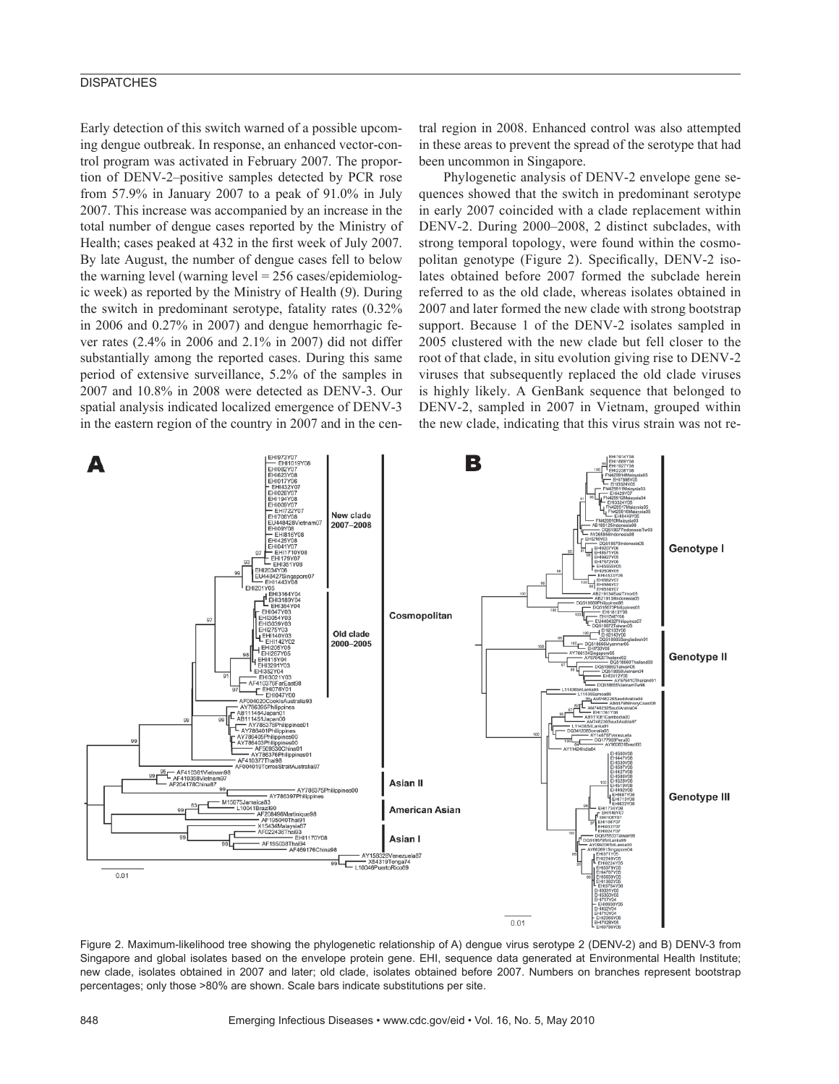### **DISPATCHES**

Early detection of this switch warned of a possible upcoming dengue outbreak. In response, an enhanced vector-control program was activated in February 2007. The proportion of DENV-2–positive samples detected by PCR rose from 57.9% in January 2007 to a peak of 91.0% in July 2007. This increase was accompanied by an increase in the total number of dengue cases reported by the Ministry of Health; cases peaked at 432 in the first week of July 2007. By late August, the number of dengue cases fell to below the warning level (warning level = 256 cases/epidemiologic week) as reported by the Ministry of Health (*9*). During the switch in predominant serotype, fatality rates (0.32% in 2006 and 0.27% in 2007) and dengue hemorrhagic fever rates (2.4% in 2006 and 2.1% in 2007) did not differ substantially among the reported cases. During this same period of extensive surveillance, 5.2% of the samples in 2007 and 10.8% in 2008 were detected as DENV-3. Our spatial analysis indicated localized emergence of DENV-3 in the eastern region of the country in 2007 and in the central region in 2008. Enhanced control was also attempted in these areas to prevent the spread of the serotype that had been uncommon in Singapore.

Phylogenetic analysis of DENV-2 envelope gene sequences showed that the switch in predominant serotype in early 2007 coincided with a clade replacement within DENV-2. During 2000–2008, 2 distinct subclades, with strong temporal topology, were found within the cosmopolitan genotype (Figure 2). Specifically, DENV-2 isolates obtained before 2007 formed the subclade herein referred to as the old clade, whereas isolates obtained in 2007 and later formed the new clade with strong bootstrap support. Because 1 of the DENV-2 isolates sampled in 2005 clustered with the new clade but fell closer to the root of that clade, in situ evolution giving rise to DENV-2 viruses that subsequently replaced the old clade viruses is highly likely. A GenBank sequence that belonged to DENV-2, sampled in 2007 in Vietnam, grouped within the new clade, indicating that this virus strain was not re-



Figure 2. Maximum-likelihood tree showing the phylogenetic relationship of A) dengue virus serotype 2 (DENV-2) and B) DENV-3 from Singapore and global isolates based on the envelope protein gene. EHI, sequence data generated at Environmental Health Institute; new clade, isolates obtained in 2007 and later; old clade, isolates obtained before 2007. Numbers on branches represent bootstrap percentages; only those >80% are shown. Scale bars indicate substitutions per site.